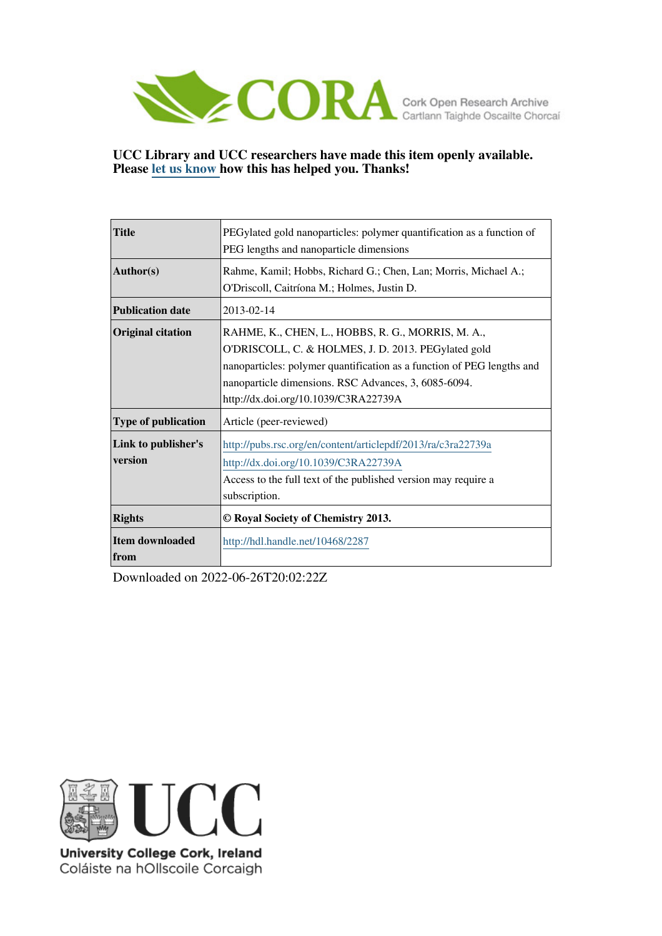

## **UCC Library and UCC researchers have made this item openly available. Please [let us know h](https://libguides.ucc.ie/openaccess/impact?suffix=2287&title=PEGylated gold nanoparticles: polymer quantification as a function of PEG lengths and nanoparticle dimensions)ow this has helped you. Thanks!**

| <b>Title</b>               | PEGylated gold nanoparticles: polymer quantification as a function of  |  |  |  |  |  |  |
|----------------------------|------------------------------------------------------------------------|--|--|--|--|--|--|
|                            | PEG lengths and nanoparticle dimensions                                |  |  |  |  |  |  |
| Author(s)                  | Rahme, Kamil; Hobbs, Richard G.; Chen, Lan; Morris, Michael A.;        |  |  |  |  |  |  |
|                            | O'Driscoll, Caitríona M.; Holmes, Justin D.                            |  |  |  |  |  |  |
| <b>Publication date</b>    | 2013-02-14                                                             |  |  |  |  |  |  |
| <b>Original citation</b>   | RAHME, K., CHEN, L., HOBBS, R. G., MORRIS, M. A.,                      |  |  |  |  |  |  |
|                            | O'DRISCOLL, C. & HOLMES, J. D. 2013. PEGylated gold                    |  |  |  |  |  |  |
|                            | nanoparticles: polymer quantification as a function of PEG lengths and |  |  |  |  |  |  |
|                            | nanoparticle dimensions. RSC Advances, 3, 6085-6094.                   |  |  |  |  |  |  |
|                            | http://dx.doi.org/10.1039/C3RA22739A                                   |  |  |  |  |  |  |
| <b>Type of publication</b> | Article (peer-reviewed)                                                |  |  |  |  |  |  |
| Link to publisher's        | http://pubs.rsc.org/en/content/articlepdf/2013/ra/c3ra22739a           |  |  |  |  |  |  |
| version                    | http://dx.doi.org/10.1039/C3RA22739A                                   |  |  |  |  |  |  |
|                            | Access to the full text of the published version may require a         |  |  |  |  |  |  |
|                            | subscription.                                                          |  |  |  |  |  |  |
| <b>Rights</b>              | © Royal Society of Chemistry 2013.                                     |  |  |  |  |  |  |
| Item downloaded            | http://hdl.handle.net/10468/2287                                       |  |  |  |  |  |  |
| <b>from</b>                |                                                                        |  |  |  |  |  |  |

Downloaded on 2022-06-26T20:02:22Z



University College Cork, Ireland Coláiste na hOllscoile Corcaigh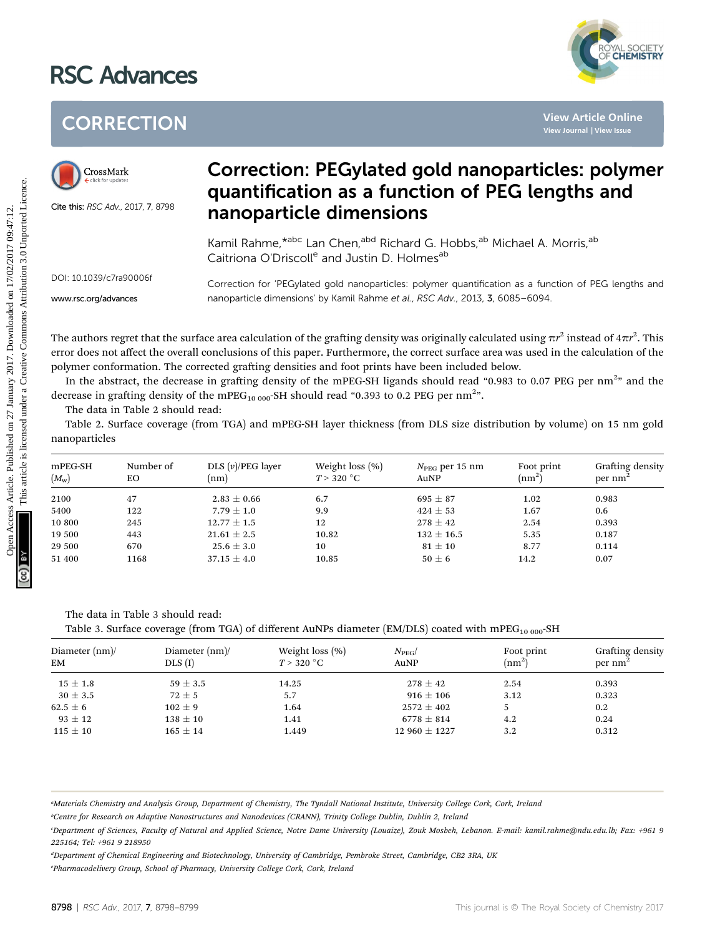## RSC Advances



## **CORRECTION**



## Correction: PEGylated gold nanoparticles: polymer quantification as a function of PEG lengths and nanoparticle dimensions

|                                                              | <b>CORRECTION</b>                  | <b>View Article Online</b><br>View Journal   View Issue                                                                                                                                                                                                                                                                                                                                                                                                                                            |                                                                                                       |                                                                                                                       |                                  |                           |  |  |
|--------------------------------------------------------------|------------------------------------|----------------------------------------------------------------------------------------------------------------------------------------------------------------------------------------------------------------------------------------------------------------------------------------------------------------------------------------------------------------------------------------------------------------------------------------------------------------------------------------------------|-------------------------------------------------------------------------------------------------------|-----------------------------------------------------------------------------------------------------------------------|----------------------------------|---------------------------|--|--|
| CrossMark<br>$\leftarrow$ click for updates                  | Cite this: RSC Adv., 2017, 7, 8798 | <b>Correction: PEGylated gold nanoparticles: polymer</b><br>quantification as a function of PEG lengths and<br>nanoparticle dimensions                                                                                                                                                                                                                                                                                                                                                             |                                                                                                       |                                                                                                                       |                                  |                           |  |  |
|                                                              |                                    |                                                                                                                                                                                                                                                                                                                                                                                                                                                                                                    | Caitriona O'Driscoll <sup>e</sup> and Justin D. Holmes <sup>ab</sup>                                  | Kamil Rahme,*abc Lan Chen, <sup>abd</sup> Richard G. Hobbs, <sup>ab</sup> Michael A. Morris, <sup>ab</sup>            |                                  |                           |  |  |
| DOI: 10.1039/c7ra90006f                                      |                                    |                                                                                                                                                                                                                                                                                                                                                                                                                                                                                                    | Correction for 'PEGylated gold nanoparticles: polymer quantification as a function of PEG lengths and |                                                                                                                       |                                  |                           |  |  |
| www.rsc.org/advances                                         |                                    |                                                                                                                                                                                                                                                                                                                                                                                                                                                                                                    | nanoparticle dimensions' by Kamil Rahme et al., RSC Adv., 2013, 3, 6085-6094.                         |                                                                                                                       |                                  |                           |  |  |
|                                                              | The data in Table 2 should read:   | error does not affect the overall conclusions of this paper. Furthermore, the correct surface area was used in the calculation of the<br>polymer conformation. The corrected grafting densities and foot prints have been included below.<br>In the abstract, the decrease in grafting density of the mPEG-SH ligands should read "0.983 to 0.07 PEG per $nm^{2}$ " and the<br>decrease in grafting density of the mPEG <sub>10 000</sub> -SH should read "0.393 to 0.2 PEG per nm <sup>2</sup> ". |                                                                                                       |                                                                                                                       |                                  |                           |  |  |
| nanoparticles                                                |                                    |                                                                                                                                                                                                                                                                                                                                                                                                                                                                                                    |                                                                                                       | Table 2. Surface coverage (from TGA) and mPEG-SH layer thickness (from DLS size distribution by volume) on 15 nm gold |                                  |                           |  |  |
|                                                              | Number of<br>EO                    | DLS $(v)/PEG$ layer<br>(nm)                                                                                                                                                                                                                                                                                                                                                                                                                                                                        | Weight loss $(\% )$<br>$T > 320$ °C                                                                   | $N_{\text{PEG}}$ per 15 nm<br>AuNP                                                                                    | Foot print<br>(nm <sup>2</sup> ) | per $nm2$                 |  |  |
|                                                              | 47                                 | $2.83 \pm 0.66$                                                                                                                                                                                                                                                                                                                                                                                                                                                                                    | 6.7                                                                                                   | $695 \pm 87$                                                                                                          | 1.02                             | Grafting density<br>0.983 |  |  |
|                                                              | 122                                | $7.79 \pm 1.0$                                                                                                                                                                                                                                                                                                                                                                                                                                                                                     | 9.9                                                                                                   | $424 \pm 53$                                                                                                          | 1.67                             | 0.6                       |  |  |
|                                                              | 245                                | $12.77 \pm 1.5$                                                                                                                                                                                                                                                                                                                                                                                                                                                                                    | 12                                                                                                    | $278 \pm 42$                                                                                                          | 2.54                             | 0.393                     |  |  |
| mPEG-SH<br>$(M_{\rm w})$<br>2100<br>5400<br>10 800<br>19 500 | 443                                | $21.61 \pm 2.5$                                                                                                                                                                                                                                                                                                                                                                                                                                                                                    | 10.82                                                                                                 | $132 \pm 16.5$                                                                                                        | 5.35                             | 0.187                     |  |  |
| 29 500<br>51 400                                             | 670<br>1168                        | $25.6 \pm 3.0$<br>$37.15 \pm 4.0$                                                                                                                                                                                                                                                                                                                                                                                                                                                                  | 10<br>10.85                                                                                           | $81 \pm 10$<br>$50 \pm 6$                                                                                             | 8.77<br>14.2                     | 0.114<br>0.07             |  |  |

The data in Table 3 should read:

Table 3. Surface coverage (from TGA) of different AuNPs diameter (EM/DLS) coated with mPEG<sub>10 000</sub>-SH

| Diameter (nm)/<br>EM | Diameter $(nm)$<br>$DLS$ $(I)$ | Weight loss $(\%)$<br>$T > 320$ °C | $N_{\rm PEG}$<br>AuNP | Foot print<br>(nm <sup>2</sup> ) | Grafting density<br>$per \, nm^2$ |
|----------------------|--------------------------------|------------------------------------|-----------------------|----------------------------------|-----------------------------------|
| $15\pm1.8$           | $59 \pm 3.5$                   | 14.25                              | $278 \pm 42$          | 2.54                             | 0.393                             |
| $30 \pm 3.5$         | $72 \pm 5$                     | 5.7                                | $916 \pm 106$         | 3.12                             | 0.323                             |
| $62.5 \pm 6$         | $102 \pm 9$                    | 1.64                               | $2572 \pm 402$        |                                  | 0.2                               |
| $93 \pm 12$          | $138 \pm 10$                   | 1.41                               | $6778 \pm 814$        | 4.2                              | 0.24                              |
| $115 \pm 10$         | $165 \pm 14$                   | 1.449                              | $12960 \pm 1227$      | 3.2                              | 0.312                             |

a Materials Chemistry and Analysis Group, Department of Chemistry, The Tyndall National Institute, University College Cork, Cork, Ireland

b Centre for Research on Adaptive Nanostructures and Nanodevices (CRANN), Trinity College Dublin, Dublin 2, Ireland

d Department of Chemical Engineering and Biotechnology, University of Cambridge, Pembroke Street, Cambridge, CB2 3RA, UK e Pharmacodelivery Group, School of Pharmacy, University College Cork, Cork, Ireland

c Department of Sciences, Faculty of Natural and Applied Science, Notre Dame University (Louaize), Zouk Mosbeh, Lebanon. E-mail: kamil.rahme@ndu.edu.lb; Fax: +961 9 225164; Tel: +961 9 218950